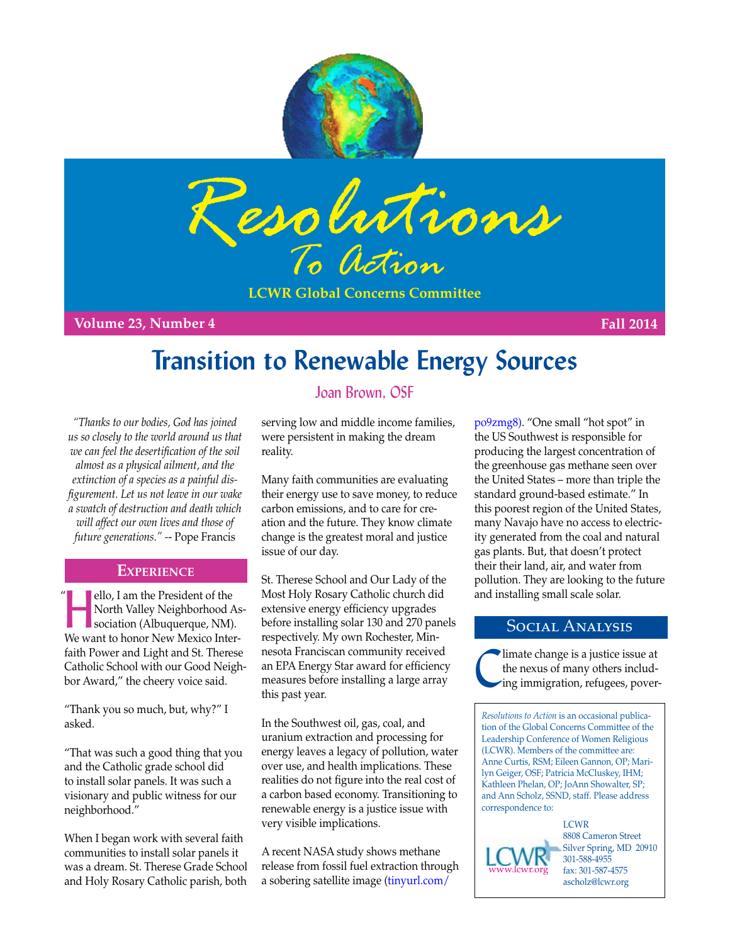



**LCWR Global Concerns Committee**

**Volume 23, Number 4 Fall 2014**

# **Transition to Renewable Energy Sources**

*"Thanks to our bodies, God has joined us so closely to the world around us that we can feel the desertification of the soil almost as a physical ailment, and the extinction of a species as a painful disfigurement. Let us not leave in our wake a swatch of destruction and death which will affect our own lives and those of future generations." -*- Pope Francis

### **Experience**

**Hello, I am the President of the North Valley Neighborhood A**<br>sociation (Albuquerque, NM) North Valley Neighborhood Association (Albuquerque, NM). We want to honor New Mexico Interfaith Power and Light and St. Therese Catholic School with our Good Neighbor Award," the cheery voice said.

"Thank you so much, but, why?" I asked.

"That was such a good thing that you and the Catholic grade school did to install solar panels. It was such a visionary and public witness for our neighborhood."

When I began work with several faith communities to install solar panels it was a dream. St. Therese Grade School and Holy Rosary Catholic parish, both

## Joan Brown, OSF

serving low and middle income families, were persistent in making the dream reality.

Many faith communities are evaluating their energy use to save money, to reduce carbon emissions, and to care for creation and the future. They know climate change is the greatest moral and justice issue of our day.

St. Therese School and Our Lady of the " | ello, I am the President of the Most Holy Rosary Catholic church did and installing small scale solar. extensive energy efficiency upgrades before installing solar 130 and 270 panels respectively. My own Rochester, Minnesota Franciscan community received an EPA Energy Star award for efficiency measures before installing a large array this past year.

> In the Southwest oil, gas, coal, and uranium extraction and processing for energy leaves a legacy of pollution, water over use, and health implications. These realities do not figure into the real cost of a carbon based economy. Transitioning to renewable energy is a justice issue with very visible implications.

> A recent NASA study shows methane release from fossil fuel extraction through a sobering satellite image [\(tinyurl.com/](http://tinyurl.com/po9zmg8)

[po9zmg8\).](http://tinyurl.com/po9zmg8) "One small "hot spot" in the US Southwest is responsible for producing the largest concentration of the greenhouse gas methane seen over the United States – more than triple the standard ground-based estimate." In this poorest region of the United States, many Navajo have no access to electricity generated from the coal and natural gas plants. But, that doesn't protect their their land, air, and water from pollution. They are looking to the future

### Social Analysis

Climate change is a justice issue at the nexus of many others including immigration, refugees, poverthe nexus of many others including immigration, refugees, pover-

*Resolutions to Action* is an occasional publication of the Global Concerns Committee of the Leadership Conference of Women Religious (LCWR). Members of the committee are: Anne Curtis, RSM; Eileen Gannon, OP; Marilyn Geiger, OSF; Patricia McCluskey, IHM; Kathleen Phelan, OP; JoAnn Showalter, SP; and Ann Scholz, SSND, staff. Please address correspondence to:

[www.lcwr.org](https://www.lcwr.org)

**LCWR** 8808 Cameron Street Silver Spring, MD 20910 301-588-4955 fax: 301-587-4575 [ascholz@lcwr.org](mailto:ascholz@lcwr.org)